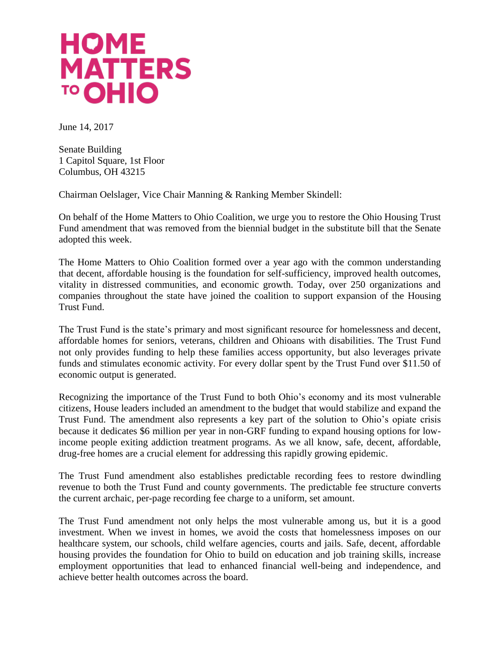## **HOME MATTERS** <sup>TO</sup> OHIO

June 14, 2017

Senate Building 1 Capitol Square, 1st Floor Columbus, OH 43215

Chairman Oelslager, Vice Chair Manning & Ranking Member Skindell:

On behalf of the Home Matters to Ohio Coalition, we urge you to restore the Ohio Housing Trust Fund amendment that was removed from the biennial budget in the substitute bill that the Senate adopted this week.

The Home Matters to Ohio Coalition formed over a year ago with the common understanding that decent, affordable housing is the foundation for self-sufficiency, improved health outcomes, vitality in distressed communities, and economic growth. Today, over 250 organizations and companies throughout the state have joined the coalition to support expansion of the Housing Trust Fund.

The Trust Fund is the state's primary and most significant resource for homelessness and decent, affordable homes for seniors, veterans, children and Ohioans with disabilities. The Trust Fund not only provides funding to help these families access opportunity, but also leverages private funds and stimulates economic activity. For every dollar spent by the Trust Fund over \$11.50 of economic output is generated.

Recognizing the importance of the Trust Fund to both Ohio's economy and its most vulnerable citizens, House leaders included an amendment to the budget that would stabilize and expand the Trust Fund. The amendment also represents a key part of the solution to Ohio's opiate crisis because it dedicates \$6 million per year in non-GRF funding to expand housing options for lowincome people exiting addiction treatment programs. As we all know, safe, decent, affordable, drug-free homes are a crucial element for addressing this rapidly growing epidemic.

The Trust Fund amendment also establishes predictable recording fees to restore dwindling revenue to both the Trust Fund and county governments. The predictable fee structure converts the current archaic, per-page recording fee charge to a uniform, set amount.

The Trust Fund amendment not only helps the most vulnerable among us, but it is a good investment. When we invest in homes, we avoid the costs that homelessness imposes on our healthcare system, our schools, child welfare agencies, courts and jails. Safe, decent, affordable housing provides the foundation for Ohio to build on education and job training skills, increase employment opportunities that lead to enhanced financial well-being and independence, and achieve better health outcomes across the board.